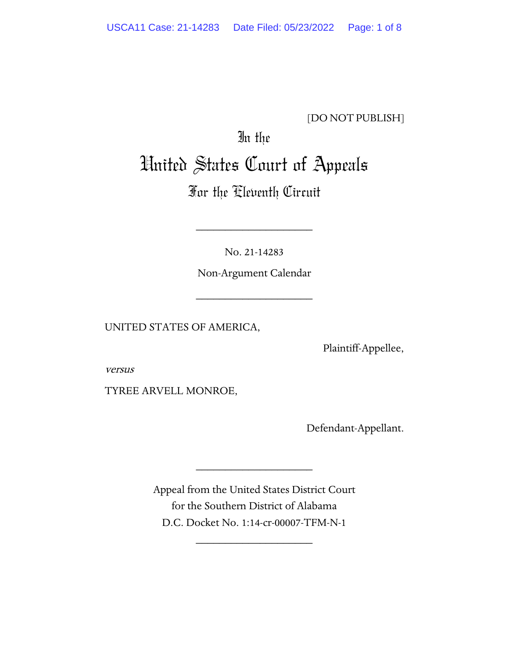## [DO NOT PUBLISH]

# In the United States Court of Appeals

# For the Eleventh Circuit

No. 21-14283

\_\_\_\_\_\_\_\_\_\_\_\_\_\_\_\_\_\_\_\_

Non-Argument Calendar

\_\_\_\_\_\_\_\_\_\_\_\_\_\_\_\_\_\_\_\_

UNITED STATES OF AMERICA,

Plaintiff-Appellee,

versus

TYREE ARVELL MONROE,

Defendant-Appellant.

Appeal from the United States District Court for the Southern District of Alabama D.C. Docket No. 1:14-cr-00007-TFM-N-1

\_\_\_\_\_\_\_\_\_\_\_\_\_\_\_\_\_\_\_\_

\_\_\_\_\_\_\_\_\_\_\_\_\_\_\_\_\_\_\_\_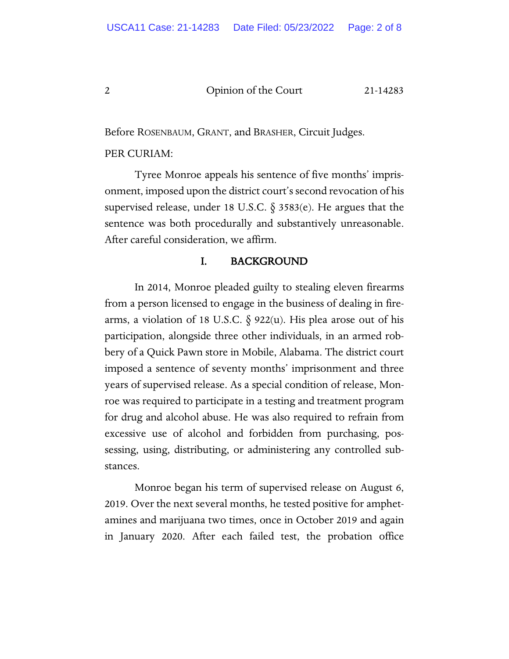Before ROSENBAUM, GRANT, and BRASHER, Circuit Judges.

#### PER CURIAM:

Tyree Monroe appeals his sentence of five months' imprisonment, imposed upon the district court's second revocation of his supervised release, under 18 U.S.C. § 3583(e). He argues that the sentence was both procedurally and substantively unreasonable. After careful consideration, we affirm.

### I. BACKGROUND

In 2014, Monroe pleaded guilty to stealing eleven firearms from a person licensed to engage in the business of dealing in firearms, a violation of 18 U.S.C. § 922(u). His plea arose out of his participation, alongside three other individuals, in an armed robbery of a Quick Pawn store in Mobile, Alabama. The district court imposed a sentence of seventy months' imprisonment and three years of supervised release. As a special condition of release, Monroe was required to participate in a testing and treatment program for drug and alcohol abuse. He was also required to refrain from excessive use of alcohol and forbidden from purchasing, possessing, using, distributing, or administering any controlled substances.

Monroe began his term of supervised release on August 6, 2019. Over the next several months, he tested positive for amphetamines and marijuana two times, once in October 2019 and again in January 2020. After each failed test, the probation office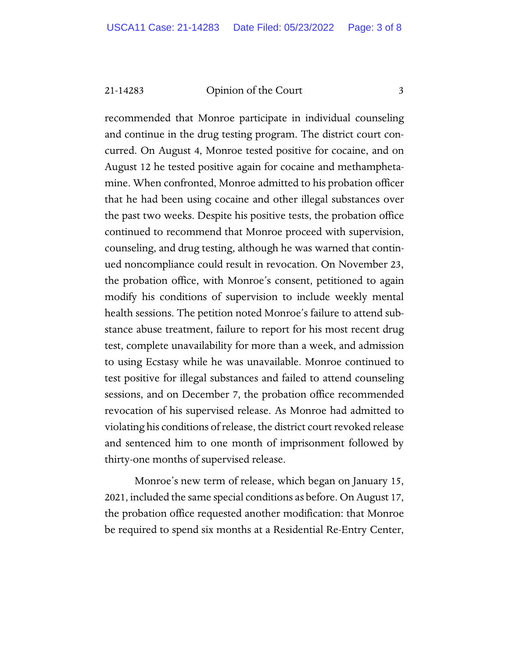21-14283 Opinion of the Court 3

recommended that Monroe participate in individual counseling and continue in the drug testing program. The district court concurred. On August 4, Monroe tested positive for cocaine, and on August 12 he tested positive again for cocaine and methamphetamine. When confronted, Monroe admitted to his probation officer that he had been using cocaine and other illegal substances over the past two weeks. Despite his positive tests, the probation office continued to recommend that Monroe proceed with supervision, counseling, and drug testing, although he was warned that continued noncompliance could result in revocation. On November 23, the probation office, with Monroe's consent, petitioned to again modify his conditions of supervision to include weekly mental health sessions. The petition noted Monroe's failure to attend substance abuse treatment, failure to report for his most recent drug test, complete unavailability for more than a week, and admission to using Ecstasy while he was unavailable. Monroe continued to test positive for illegal substances and failed to attend counseling sessions, and on December 7, the probation office recommended revocation of his supervised release. As Monroe had admitted to violating his conditions of release, the district court revoked release and sentenced him to one month of imprisonment followed by thirty-one months of supervised release.

Monroe's new term of release, which began on January 15, 2021, included the same special conditions as before. On August 17, the probation office requested another modification: that Monroe be required to spend six months at a Residential Re-Entry Center,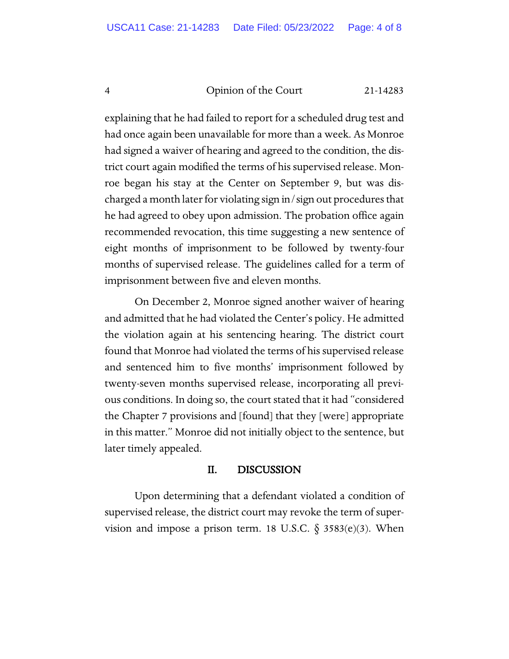explaining that he had failed to report for a scheduled drug test and had once again been unavailable for more than a week. As Monroe had signed a waiver of hearing and agreed to the condition, the district court again modified the terms of his supervised release. Monroe began his stay at the Center on September 9, but was discharged a month later for violating sign in/sign out procedures that he had agreed to obey upon admission. The probation office again recommended revocation, this time suggesting a new sentence of eight months of imprisonment to be followed by twenty-four months of supervised release. The guidelines called for a term of imprisonment between five and eleven months.

On December 2, Monroe signed another waiver of hearing and admitted that he had violated the Center's policy. He admitted the violation again at his sentencing hearing. The district court found that Monroe had violated the terms of his supervised release and sentenced him to five months' imprisonment followed by twenty-seven months supervised release, incorporating all previous conditions. In doing so, the court stated that it had "considered the Chapter 7 provisions and [found] that they [were] appropriate in this matter." Monroe did not initially object to the sentence, but later timely appealed.

#### II. DISCUSSION

Upon determining that a defendant violated a condition of supervised release, the district court may revoke the term of supervision and impose a prison term. 18 U.S.C.  $\S$  3583(e)(3). When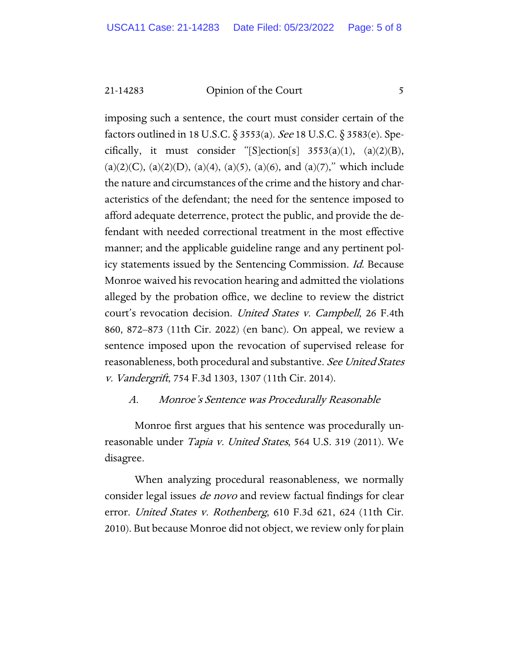21-14283 Opinion of the Court 5

imposing such a sentence, the court must consider certain of the factors outlined in 18 U.S.C. § 3553(a). See 18 U.S.C. § 3583(e). Specifically, it must consider "[S]ection[s]  $3553(a)(1)$ ,  $(a)(2)(B)$ ,  $(a)(2)(C)$ ,  $(a)(2)(D)$ ,  $(a)(4)$ ,  $(a)(5)$ ,  $(a)(6)$ , and  $(a)(7)$ ," which include the nature and circumstances of the crime and the history and characteristics of the defendant; the need for the sentence imposed to afford adequate deterrence, protect the public, and provide the defendant with needed correctional treatment in the most effective manner; and the applicable guideline range and any pertinent policy statements issued by the Sentencing Commission. Id. Because Monroe waived his revocation hearing and admitted the violations alleged by the probation office, we decline to review the district court's revocation decision. United States v. Campbell, 26 F.4th 860, 872–873 (11th Cir. 2022) (en banc). On appeal, we review a sentence imposed upon the revocation of supervised release for reasonableness, both procedural and substantive. See United States v. Vandergrift, 754 F.3d 1303, 1307 (11th Cir. 2014).

#### A. Monroe's Sentence was Procedurally Reasonable

Monroe first argues that his sentence was procedurally unreasonable under *Tapia v. United States*, 564 U.S. 319 (2011). We disagree.

When analyzing procedural reasonableness, we normally consider legal issues *de novo* and review factual findings for clear error. United States v. Rothenberg, 610 F.3d 621, 624 (11th Cir. 2010). But because Monroe did not object, we review only for plain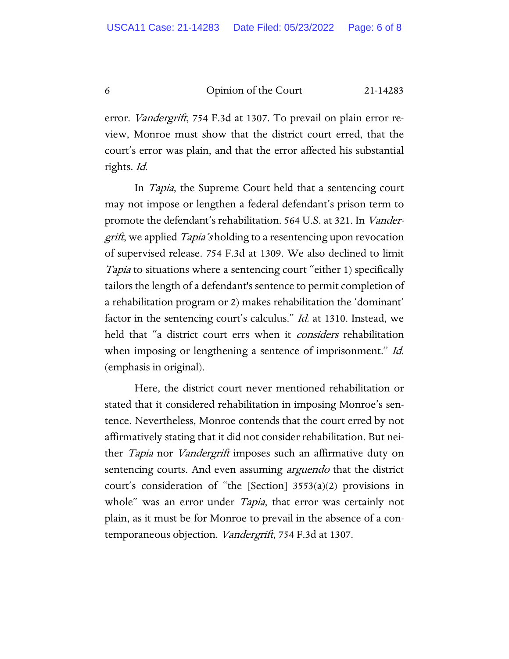error. Vandergrift, 754 F.3d at 1307. To prevail on plain error review, Monroe must show that the district court erred, that the court's error was plain, and that the error affected his substantial rights. Id.

In *Tapia*, the Supreme Court held that a sentencing court may not impose or lengthen a federal defendant's prison term to promote the defendant's rehabilitation. 564 U.S. at 321. In Vander*grift*, we applied *Tapia's* holding to a resentencing upon revocation of supervised release. 754 F.3d at 1309. We also declined to limit Tapia to situations where a sentencing court "either 1) specifically tailors the length of a defendant's sentence to permit completion of a rehabilitation program or 2) makes rehabilitation the 'dominant' factor in the sentencing court's calculus." Id. at 1310. Instead, we held that "a district court errs when it *considers* rehabilitation when imposing or lengthening a sentence of imprisonment." Id. (emphasis in original).

Here, the district court never mentioned rehabilitation or stated that it considered rehabilitation in imposing Monroe's sentence. Nevertheless, Monroe contends that the court erred by not affirmatively stating that it did not consider rehabilitation. But neither *Tapia* nor *Vandergrift* imposes such an affirmative duty on sentencing courts. And even assuming *arguendo* that the district court's consideration of "the [Section] 3553(a)(2) provisions in whole" was an error under *Tapia*, that error was certainly not plain, as it must be for Monroe to prevail in the absence of a contemporaneous objection. Vandergrift, 754 F.3d at 1307.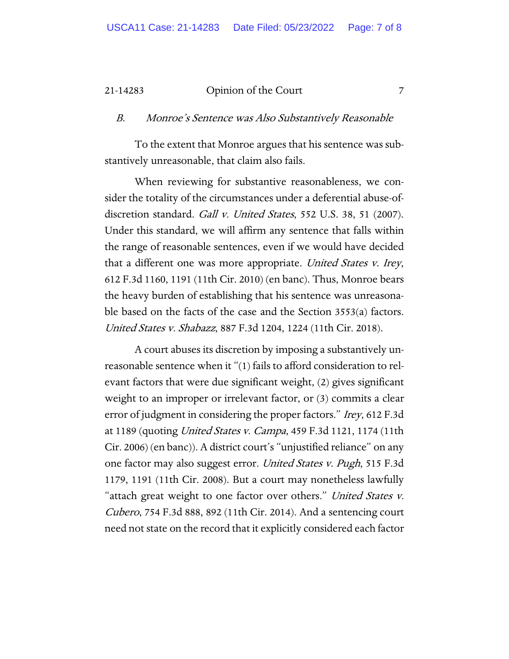#### 21-14283 Opinion of the Court 7

#### B. Monroe's Sentence was Also Substantively Reasonable

To the extent that Monroe argues that his sentence was substantively unreasonable, that claim also fails.

When reviewing for substantive reasonableness, we consider the totality of the circumstances under a deferential abuse-ofdiscretion standard. *Gall v. United States*, 552 U.S. 38, 51 (2007). Under this standard, we will affirm any sentence that falls within the range of reasonable sentences, even if we would have decided that a different one was more appropriate. United States v. Irey, 612 F.3d 1160, 1191 (11th Cir. 2010) (en banc). Thus, Monroe bears the heavy burden of establishing that his sentence was unreasonable based on the facts of the case and the Section 3553(a) factors. United States v. Shabazz, 887 F.3d 1204, 1224 (11th Cir. 2018).

A court abuses its discretion by imposing a substantively unreasonable sentence when it "(1) fails to afford consideration to relevant factors that were due significant weight, (2) gives significant weight to an improper or irrelevant factor, or (3) commits a clear error of judgment in considering the proper factors." Irey, 612 F.3d at 1189 (quoting United States v. Campa, 459 F.3d 1121, 1174 (11th Cir. 2006) (en banc)). A district court's "unjustified reliance" on any one factor may also suggest error. United States v. Pugh, 515 F.3d 1179, 1191 (11th Cir. 2008). But a court may nonetheless lawfully "attach great weight to one factor over others." United States v. Cubero, 754 F.3d 888, 892 (11th Cir. 2014). And a sentencing court need not state on the record that it explicitly considered each factor